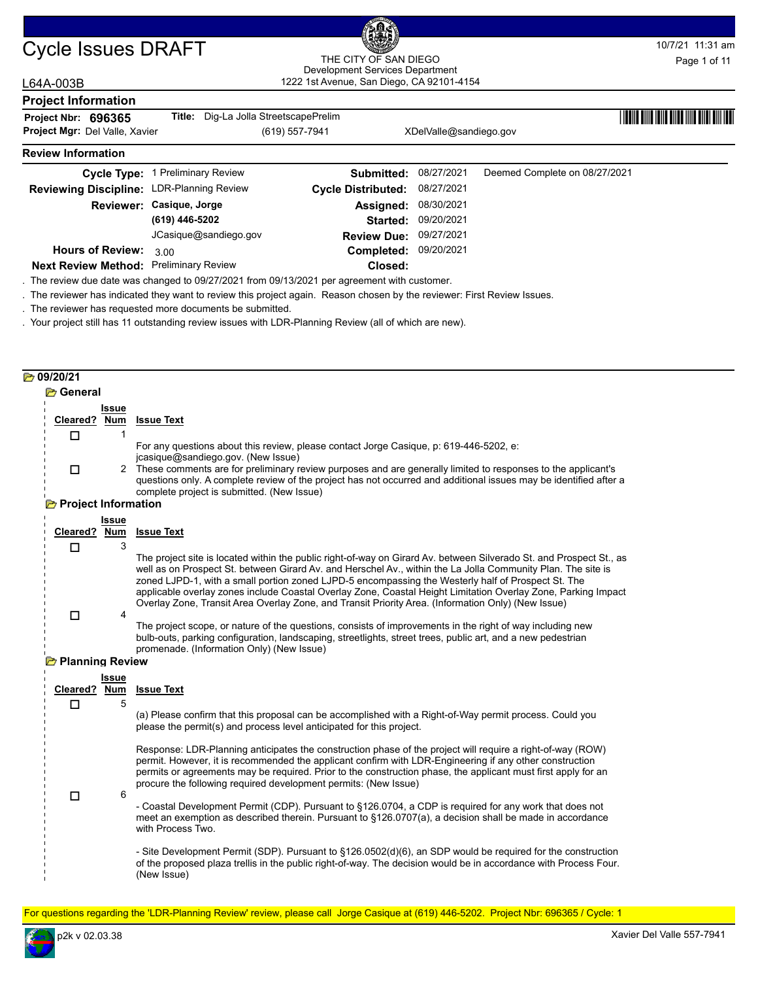**Hours of Review:** 3.00

### 1222 1st Avenue, San Diego, CA 92101-4154 THE CITY OF SAN DIEGO Development Services Department

### L64A-003B

| ∟∪¬∧∽∪ບບ                                  |                                              |                           |                               |                               |  |
|-------------------------------------------|----------------------------------------------|---------------------------|-------------------------------|-------------------------------|--|
| <b>Project Information</b>                |                                              |                           |                               |                               |  |
| Project Nbr: 696365                       | <b>Title:</b> Dig-La Jolla StreetscapePrelim |                           |                               |                               |  |
| <b>Project Mgr: Del Valle, Xavier</b>     |                                              | (619) 557-7941            | XDelValle@sandiego.gov        |                               |  |
| <b>Review Information</b>                 |                                              |                           |                               |                               |  |
|                                           | Cycle Type: 1 Preliminary Review             |                           | <b>Submitted: 08/27/2021</b>  | Deemed Complete on 08/27/2021 |  |
| Reviewing Discipline: LDR-Planning Review |                                              | <b>Cycle Distributed:</b> | 08/27/2021                    |                               |  |
|                                           | Reviewer: Casique, Jorge                     | Assigned:                 | 08/30/2021                    |                               |  |
|                                           | (619) 446-5202                               |                           | Started: 09/20/2021           |                               |  |
|                                           | JCasique@sandiego.gov                        |                           | <b>Review Due: 09/27/2021</b> |                               |  |

09/20/2021 **Completed:**

**Closed: Next Review Method: Preliminary Review** . The review due date was changed to 09/27/2021 from 09/13/2021 per agreement with customer.

. The reviewer has indicated they want to review this project again. Reason chosen by the reviewer: First Review Issues.

. The reviewer has requested more documents be submitted.

. Your project still has 11 outstanding review issues with LDR-Planning Review (all of which are new).

#### **b** 09/20/21

| Cleared?                         | Issue<br>Num | <b>Issue Text</b>                                                                                                                                                                                                                                                                                                                                                                                                                                                                                                                                                |
|----------------------------------|--------------|------------------------------------------------------------------------------------------------------------------------------------------------------------------------------------------------------------------------------------------------------------------------------------------------------------------------------------------------------------------------------------------------------------------------------------------------------------------------------------------------------------------------------------------------------------------|
| □                                | 1            |                                                                                                                                                                                                                                                                                                                                                                                                                                                                                                                                                                  |
| $\Box$                           |              | For any questions about this review, please contact Jorge Casique, p: 619-446-5202, e:<br>jcasique@sandiego.gov. (New Issue)<br>2 These comments are for preliminary review purposes and are generally limited to responses to the applicant's                                                                                                                                                                                                                                                                                                                   |
|                                  |              | questions only. A complete review of the project has not occurred and additional issues may be identified after a<br>complete project is submitted. (New Issue)                                                                                                                                                                                                                                                                                                                                                                                                  |
| <b>Project Information</b>       |              |                                                                                                                                                                                                                                                                                                                                                                                                                                                                                                                                                                  |
|                                  | Issue        |                                                                                                                                                                                                                                                                                                                                                                                                                                                                                                                                                                  |
| Cleared?                         | Num          | <b>Issue Text</b>                                                                                                                                                                                                                                                                                                                                                                                                                                                                                                                                                |
| □                                | 3            | The project site is located within the public right-of-way on Girard Av. between Silverado St. and Prospect St., as<br>well as on Prospect St. between Girard Av. and Herschel Av., within the La Jolla Community Plan. The site is<br>zoned LJPD-1, with a small portion zoned LJPD-5 encompassing the Westerly half of Prospect St. The<br>applicable overlay zones include Coastal Overlay Zone, Coastal Height Limitation Overlay Zone, Parking Impact<br>Overlay Zone, Transit Area Overlay Zone, and Transit Priority Area. (Information Only) (New Issue) |
| $\Box$<br><b>Planning Review</b> | 4            | The project scope, or nature of the questions, consists of improvements in the right of way including new<br>bulb-outs, parking configuration, landscaping, streetlights, street trees, public art, and a new pedestrian<br>promenade. (Information Only) (New Issue)                                                                                                                                                                                                                                                                                            |
|                                  | <b>Issue</b> |                                                                                                                                                                                                                                                                                                                                                                                                                                                                                                                                                                  |
| Cleared? Num                     |              | <b>Issue Text</b>                                                                                                                                                                                                                                                                                                                                                                                                                                                                                                                                                |
| $\Box$                           | 5            |                                                                                                                                                                                                                                                                                                                                                                                                                                                                                                                                                                  |
|                                  |              | (a) Please confirm that this proposal can be accomplished with a Right-of-Way permit process. Could you<br>please the permit(s) and process level anticipated for this project.                                                                                                                                                                                                                                                                                                                                                                                  |
| $\Box$                           | 6            | Response: LDR-Planning anticipates the construction phase of the project will require a right-of-way (ROW)<br>permit. However, it is recommended the applicant confirm with LDR-Engineering if any other construction<br>permits or agreements may be required. Prior to the construction phase, the applicant must first apply for an<br>procure the following required development permits: (New Issue)                                                                                                                                                        |
|                                  |              | - Coastal Development Permit (CDP). Pursuant to §126.0704, a CDP is required for any work that does not<br>meet an exemption as described therein. Pursuant to §126.0707(a), a decision shall be made in accordance<br>with Process Two.                                                                                                                                                                                                                                                                                                                         |
|                                  |              | - Site Development Permit (SDP). Pursuant to §126.0502(d)(6), an SDP would be required for the construction<br>of the proposed plaza trellis in the public right-of-way. The decision would be in accordance with Process Four.                                                                                                                                                                                                                                                                                                                                  |

For questions regarding the 'LDR-Planning Review' review, please call Jorge Casique at (619) 446-5202. Project Nbr: 696365 / Cycle: 1

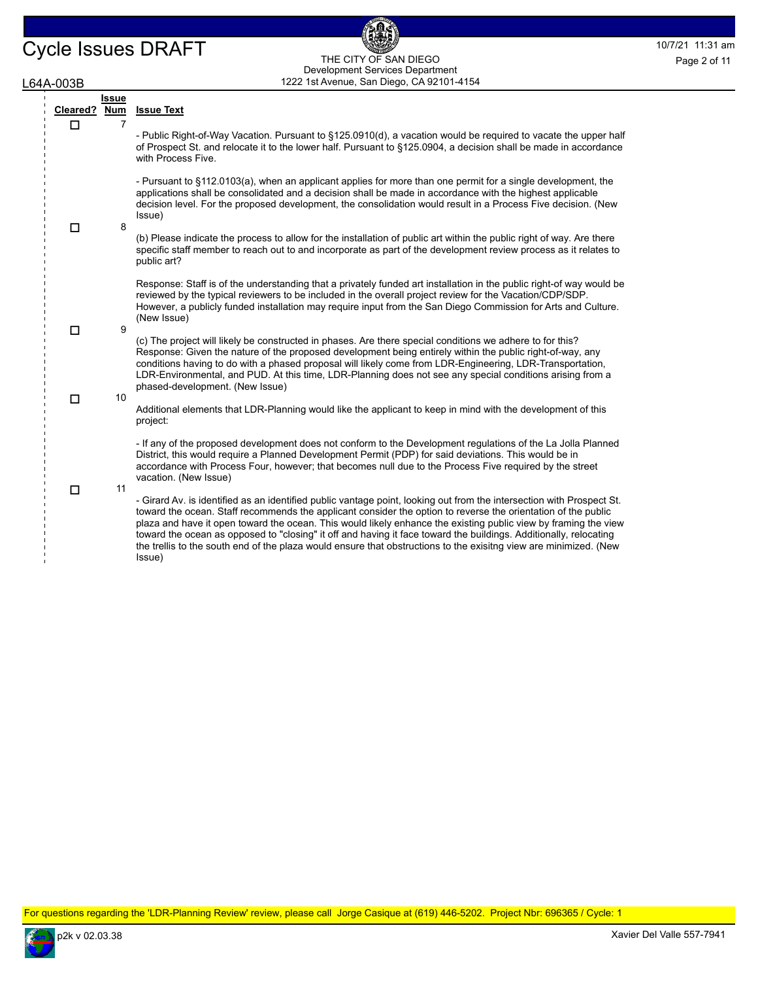### Cycle Issues DRAFT THE CITY OF SAN DIEGO THE CITY OF SAN DIEGO Page 2 of 11 1222 1st Avenue, San Diego, CA 92101-4154 THE CITY OF SAN DIEGO Development Services Department Page 2 of 11

偑

### L64A-003B

| .<br>---     |                   |                                                                                                                                                                                                                                                                                                                                                                                                                                                                                                                                                                                                               |   |  |                                                                                                                                                                                                                                                                                                                                                                  |
|--------------|-------------------|---------------------------------------------------------------------------------------------------------------------------------------------------------------------------------------------------------------------------------------------------------------------------------------------------------------------------------------------------------------------------------------------------------------------------------------------------------------------------------------------------------------------------------------------------------------------------------------------------------------|---|--|------------------------------------------------------------------------------------------------------------------------------------------------------------------------------------------------------------------------------------------------------------------------------------------------------------------------------------------------------------------|
| Cleared? Num | <b>Issue</b><br>7 | <b>Issue Text</b>                                                                                                                                                                                                                                                                                                                                                                                                                                                                                                                                                                                             |   |  |                                                                                                                                                                                                                                                                                                                                                                  |
| □            |                   | - Public Right-of-Way Vacation. Pursuant to §125.0910(d), a vacation would be required to vacate the upper half<br>of Prospect St. and relocate it to the lower half. Pursuant to §125.0904, a decision shall be made in accordance<br>with Process Five.                                                                                                                                                                                                                                                                                                                                                     |   |  |                                                                                                                                                                                                                                                                                                                                                                  |
|              | 8                 | - Pursuant to §112.0103(a), when an applicant applies for more than one permit for a single development, the<br>applications shall be consolidated and a decision shall be made in accordance with the highest applicable<br>decision level. For the proposed development, the consolidation would result in a Process Five decision. (New<br>Issue)                                                                                                                                                                                                                                                          |   |  |                                                                                                                                                                                                                                                                                                                                                                  |
| П            |                   | (b) Please indicate the process to allow for the installation of public art within the public right of way. Are there<br>specific staff member to reach out to and incorporate as part of the development review process as it relates to<br>public art?                                                                                                                                                                                                                                                                                                                                                      |   |  |                                                                                                                                                                                                                                                                                                                                                                  |
| п            |                   |                                                                                                                                                                                                                                                                                                                                                                                                                                                                                                                                                                                                               | 9 |  | Response: Staff is of the understanding that a privately funded art installation in the public right-of way would be<br>reviewed by the typical reviewers to be included in the overall project review for the Vacation/CDP/SDP.<br>However, a publicly funded installation may require input from the San Diego Commission for Arts and Culture.<br>(New Issue) |
|              |                   | (c) The project will likely be constructed in phases. Are there special conditions we adhere to for this?<br>Response: Given the nature of the proposed development being entirely within the public right-of-way, any<br>conditions having to do with a phased proposal will likely come from LDR-Engineering, LDR-Transportation,<br>LDR-Environmental, and PUD. At this time, LDR-Planning does not see any special conditions arising from a<br>phased-development. (New Issue)                                                                                                                           |   |  |                                                                                                                                                                                                                                                                                                                                                                  |
| п            | 10                | Additional elements that LDR-Planning would like the applicant to keep in mind with the development of this<br>project:                                                                                                                                                                                                                                                                                                                                                                                                                                                                                       |   |  |                                                                                                                                                                                                                                                                                                                                                                  |
| П            | 11                | - If any of the proposed development does not conform to the Development regulations of the La Jolla Planned<br>District, this would require a Planned Development Permit (PDP) for said deviations. This would be in<br>accordance with Process Four, however; that becomes null due to the Process Five required by the street<br>vacation. (New Issue)                                                                                                                                                                                                                                                     |   |  |                                                                                                                                                                                                                                                                                                                                                                  |
|              |                   | - Girard Av. is identified as an identified public vantage point, looking out from the intersection with Prospect St.<br>toward the ocean. Staff recommends the applicant consider the option to reverse the orientation of the public<br>plaza and have it open toward the ocean. This would likely enhance the existing public view by framing the view<br>toward the ocean as opposed to "closing" it off and having it face toward the buildings. Additionally, relocating<br>the trellis to the south end of the plaza would ensure that obstructions to the exisitng view are minimized. (New<br>Issue) |   |  |                                                                                                                                                                                                                                                                                                                                                                  |

For questions regarding the 'LDR-Planning Review' review, please call Jorge Casique at (619) 446-5202. Project Nbr: 696365 / Cycle: 1

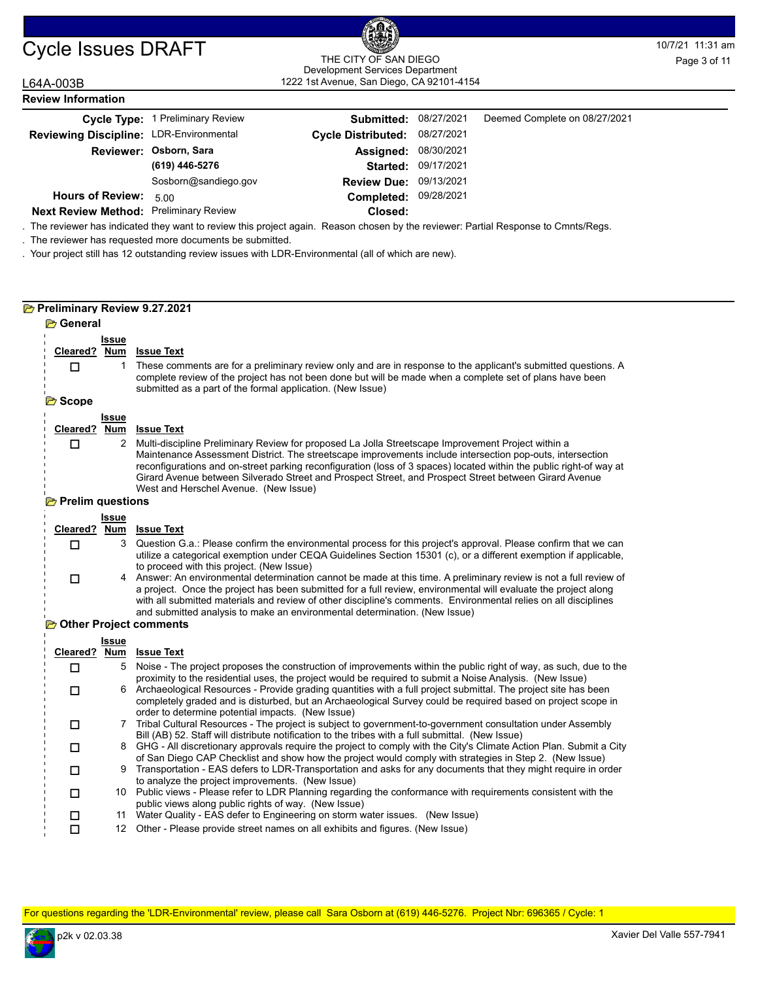# Cycle Issues DRAFT THE CITY OF SAN DIEGO Bangle 2007/21 11:31 am

# THE CITY OF SAN DIEGO

|                                         |                                                                                                                                                                                              | THE CITY OF SAN DIEGO<br>Development Services Department |            |                                                                                                                     | Page 3 of 11 |
|-----------------------------------------|----------------------------------------------------------------------------------------------------------------------------------------------------------------------------------------------|----------------------------------------------------------|------------|---------------------------------------------------------------------------------------------------------------------|--------------|
| L64A-003B                               |                                                                                                                                                                                              | 1222 1st Avenue, San Diego, CA 92101-4154                |            |                                                                                                                     |              |
| <b>Review Information</b>               |                                                                                                                                                                                              |                                                          |            |                                                                                                                     |              |
|                                         | Cycle Type: 1 Preliminary Review                                                                                                                                                             | Submitted:                                               | 08/27/2021 | Deemed Complete on 08/27/2021                                                                                       |              |
| Reviewing Discipline: LDR-Environmental |                                                                                                                                                                                              | <b>Cycle Distributed:</b>                                | 08/27/2021 |                                                                                                                     |              |
|                                         | Reviewer: Osborn, Sara                                                                                                                                                                       | Assigned:                                                | 08/30/2021 |                                                                                                                     |              |
|                                         | (619) 446-5276                                                                                                                                                                               | Started:                                                 | 09/17/2021 |                                                                                                                     |              |
|                                         | Sosborn@sandiego.gov                                                                                                                                                                         | Review Due: 09/13/2021                                   |            |                                                                                                                     |              |
| <b>Hours of Review:</b>                 | 5.00                                                                                                                                                                                         | Completed:                                               | 09/28/2021 |                                                                                                                     |              |
| Next Review Method: Preliminary Review  |                                                                                                                                                                                              | Closed:                                                  |            |                                                                                                                     |              |
|                                         | The reviewer has indicated they want to review this project again. Reason chosen by the reviewer: Partial Response to Cmnts/Regs.<br>The reviewer has requested more documents be submitted. |                                                          |            |                                                                                                                     |              |
|                                         | Your project still has 12 outstanding review issues with LDR-Environmental (all of which are new).                                                                                           |                                                          |            |                                                                                                                     |              |
|                                         |                                                                                                                                                                                              |                                                          |            |                                                                                                                     |              |
|                                         |                                                                                                                                                                                              |                                                          |            |                                                                                                                     |              |
|                                         |                                                                                                                                                                                              |                                                          |            |                                                                                                                     |              |
| Preliminary Review 9.27.2021            |                                                                                                                                                                                              |                                                          |            |                                                                                                                     |              |
| <b>B</b> General                        |                                                                                                                                                                                              |                                                          |            |                                                                                                                     |              |
| <b>Issue</b>                            |                                                                                                                                                                                              |                                                          |            |                                                                                                                     |              |
| Cleared? Num<br>$\Box$                  | <b>Issue Text</b>                                                                                                                                                                            |                                                          |            | These comments are for a preliminary review only and are in response to the applicant's submitted questions. A      |              |
|                                         | complete review of the project has not been done but will be made when a complete set of plans have been                                                                                     |                                                          |            |                                                                                                                     |              |
|                                         | submitted as a part of the formal application. (New Issue)                                                                                                                                   |                                                          |            |                                                                                                                     |              |
| <b>B</b> Scope                          |                                                                                                                                                                                              |                                                          |            |                                                                                                                     |              |
| <b>Issue</b><br>Cleared? Num            | <b>Issue Text</b>                                                                                                                                                                            |                                                          |            |                                                                                                                     |              |
| 2<br>□                                  | Multi-discipline Preliminary Review for proposed La Jolla Streetscape Improvement Project within a                                                                                           |                                                          |            |                                                                                                                     |              |
|                                         | Maintenance Assessment District. The streetscape improvements include intersection pop-outs, intersection                                                                                    |                                                          |            |                                                                                                                     |              |
|                                         | Girard Avenue between Silverado Street and Prospect Street, and Prospect Street between Girard Avenue                                                                                        |                                                          |            | reconfigurations and on-street parking reconfiguration (loss of 3 spaces) located within the public right-of way at |              |
|                                         | West and Herschel Avenue. (New Issue)                                                                                                                                                        |                                                          |            |                                                                                                                     |              |
| Prelim questions                        |                                                                                                                                                                                              |                                                          |            |                                                                                                                     |              |
| <b>Issue</b>                            |                                                                                                                                                                                              |                                                          |            |                                                                                                                     |              |
| Cleared?<br><b>Num</b><br>3             | <u>Issue Text</u>                                                                                                                                                                            |                                                          |            | Question G.a.: Please confirm the environmental process for this project's approval. Please confirm that we can     |              |
| □                                       |                                                                                                                                                                                              |                                                          |            | utilize a categorical exemption under CEQA Guidelines Section 15301 (c), or a different exemption if applicable,    |              |
|                                         | to proceed with this project. (New Issue)                                                                                                                                                    |                                                          |            |                                                                                                                     |              |
| $\Box$                                  | a project. Once the project has been submitted for a full review, environmental will evaluate the project along                                                                              |                                                          |            | 4 Answer: An environmental determination cannot be made at this time. A preliminary review is not a full review of  |              |
|                                         | with all submitted materials and review of other discipline's comments. Environmental relies on all disciplines                                                                              |                                                          |            |                                                                                                                     |              |
|                                         | and submitted analysis to make an environmental determination. (New Issue)                                                                                                                   |                                                          |            |                                                                                                                     |              |
| <b>B</b> Other Project comments         |                                                                                                                                                                                              |                                                          |            |                                                                                                                     |              |

#### **Other Project comments** Ű

|  | Issue |                                                                                                                                                                                                                                                                                     |
|--|-------|-------------------------------------------------------------------------------------------------------------------------------------------------------------------------------------------------------------------------------------------------------------------------------------|
|  |       | Cleared? Num Issue Text                                                                                                                                                                                                                                                             |
|  | 5.    | Noise - The project proposes the construction of improvements within the public right of way, as such, due to the<br>proximity to the residential uses, the project would be required to submit a Noise Analysis. (New Issue)                                                       |
|  | 6     | Archaeological Resources - Provide grading quantities with a full project submittal. The project site has been<br>completely graded and is disturbed, but an Archaeological Survey could be required based on project scope in<br>order to determine potential impacts. (New Issue) |
|  |       | Tribal Cultural Resources - The project is subject to government-to-government consultation under Assembly<br>Bill (AB) 52. Staff will distribute notification to the tribes with a full submittal. (New Issue)                                                                     |
|  |       | 8 GHG - All discretionary approvals require the project to comply with the City's Climate Action Plan. Submit a City<br>of San Diego CAP Checklist and show how the project would comply with strategies in Step 2. (New Issue)                                                     |
|  |       | Transportation - EAS defers to LDR-Transportation and asks for any documents that they might require in order<br>to analyze the project improvements. (New Issue)                                                                                                                   |
|  |       | 10 Public views - Please refer to LDR Planning regarding the conformance with requirements consistent with the<br>public views along public rights of way. (New Issue)                                                                                                              |
|  | 11    | Water Quality - EAS defer to Engineering on storm water issues. (New Issue)                                                                                                                                                                                                         |
|  |       | Other - Please provide street names on all exhibits and figures. (New Issue)                                                                                                                                                                                                        |

For questions regarding the 'LDR-Environmental' review, please call Sara Osborn at (619) 446-5276. Project Nbr: 696365 / Cycle: 1

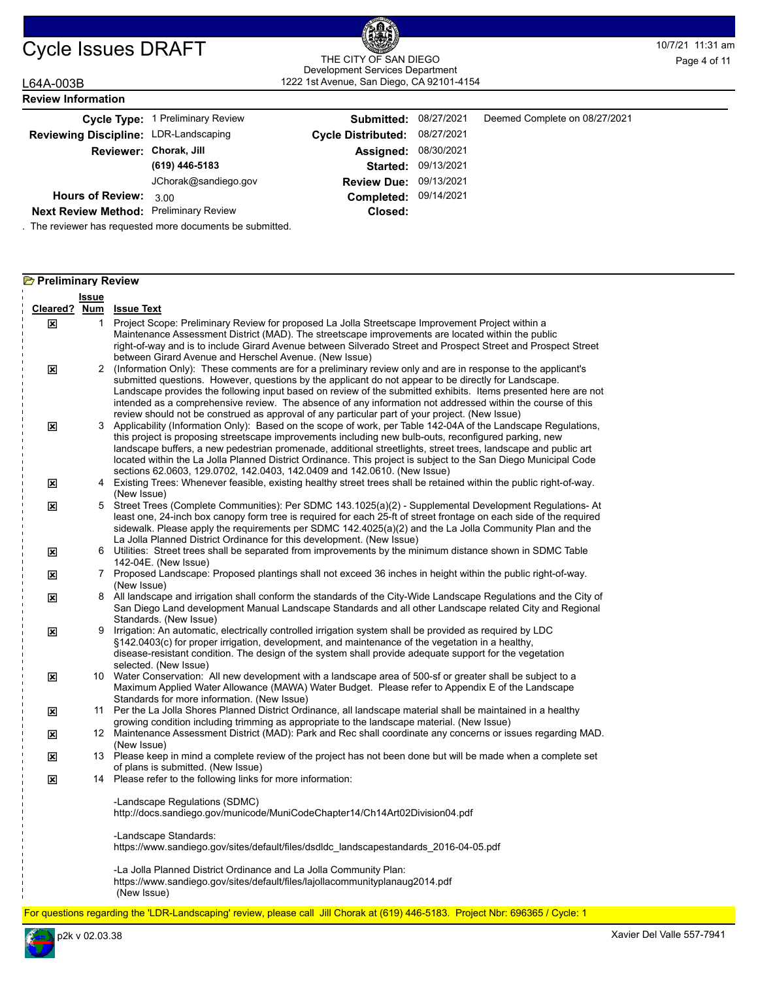# Cycle Issues DRAFT THE CITY OF SAN DIEGO THE CITY OF SAN DIEGO Page 4 of 11

# 1222 1st Avenue, San Diego, CA 92101-4154 THE CITY OF SAN DIEGO Development Services Department Page 4 of 11

### L64A-003B

| <b>Review Information</b>                     |                                  |                               |            |                               |
|-----------------------------------------------|----------------------------------|-------------------------------|------------|-------------------------------|
|                                               | Cycle Type: 1 Preliminary Review | Submitted:                    | 08/27/2021 | Deemed Complete on 08/27/2021 |
| Reviewing Discipline: LDR-Landscaping         |                                  | <b>Cycle Distributed:</b>     | 08/27/2021 |                               |
|                                               | Reviewer: Chorak, Jill           | Assigned:                     | 08/30/2021 |                               |
|                                               | (619) 446-5183                   | <b>Started:</b>               | 09/13/2021 |                               |
|                                               | JChorak@sandiego.gov             | <b>Review Due: 09/13/2021</b> |            |                               |
| <b>Hours of Review:</b>                       | 3.00                             | <b>Completed:</b>             | 09/14/2021 |                               |
| <b>Next Review Method: Preliminary Review</b> |                                  | Closed:                       |            |                               |

. The reviewer has requested more documents be submitted.

| <b>B</b> Preliminary Review |              |                                                                                                                                                                                                                                                                                                                                                                                                                                                                                                                                                         |  |  |  |  |  |
|-----------------------------|--------------|---------------------------------------------------------------------------------------------------------------------------------------------------------------------------------------------------------------------------------------------------------------------------------------------------------------------------------------------------------------------------------------------------------------------------------------------------------------------------------------------------------------------------------------------------------|--|--|--|--|--|
|                             | <b>Issue</b> |                                                                                                                                                                                                                                                                                                                                                                                                                                                                                                                                                         |  |  |  |  |  |
|                             |              | Cleared? Num Issue Text                                                                                                                                                                                                                                                                                                                                                                                                                                                                                                                                 |  |  |  |  |  |
| ⊠                           |              | 1 Project Scope: Preliminary Review for proposed La Jolla Streetscape Improvement Project within a<br>Maintenance Assessment District (MAD). The streetscape improvements are located within the public<br>right-of-way and is to include Girard Avenue between Silverado Street and Prospect Street and Prospect Street<br>between Girard Avenue and Herschel Avenue. (New Issue)                                                                                                                                                                      |  |  |  |  |  |
| ⊠                           |              | 2 (Information Only): These comments are for a preliminary review only and are in response to the applicant's<br>submitted questions. However, questions by the applicant do not appear to be directly for Landscape.<br>Landscape provides the following input based on review of the submitted exhibits. Items presented here are not<br>intended as a comprehensive review. The absence of any information not addressed within the course of this<br>review should not be construed as approval of any particular part of your project. (New Issue) |  |  |  |  |  |
| ⊠                           | 3            | Applicability (Information Only): Based on the scope of work, per Table 142-04A of the Landscape Regulations,<br>this project is proposing streetscape improvements including new bulb-outs, reconfigured parking, new<br>landscape buffers, a new pedestrian promenade, additional streetlights, street trees, landscape and public art<br>located within the La Jolla Planned District Ordinance. This project is subject to the San Diego Municipal Code<br>sections 62.0603, 129.0702, 142.0403, 142.0409 and 142.0610. (New Issue)                 |  |  |  |  |  |
| ⊠                           |              | 4 Existing Trees: Whenever feasible, existing healthy street trees shall be retained within the public right-of-way.<br>(New Issue)                                                                                                                                                                                                                                                                                                                                                                                                                     |  |  |  |  |  |
| ⊠                           |              | 5 Street Trees (Complete Communities): Per SDMC 143.1025(a)(2) - Supplemental Development Regulations- At<br>least one, 24-inch box canopy form tree is required for each 25-ft of street frontage on each side of the required<br>sidewalk. Please apply the requirements per SDMC $142.4025(a)(2)$ and the La Jolla Community Plan and the<br>La Jolla Planned District Ordinance for this development. (New Issue)                                                                                                                                   |  |  |  |  |  |
| ⊠                           |              | 6 Utilities: Street trees shall be separated from improvements by the minimum distance shown in SDMC Table<br>142-04E. (New Issue)                                                                                                                                                                                                                                                                                                                                                                                                                      |  |  |  |  |  |
| ⊠                           |              | 7 Proposed Landscape: Proposed plantings shall not exceed 36 inches in height within the public right-of-way.<br>(New Issue)                                                                                                                                                                                                                                                                                                                                                                                                                            |  |  |  |  |  |
| ⊠                           |              | 8 All landscape and irrigation shall conform the standards of the City-Wide Landscape Regulations and the City of<br>San Diego Land development Manual Landscape Standards and all other Landscape related City and Regional<br>Standards. (New Issue)                                                                                                                                                                                                                                                                                                  |  |  |  |  |  |
| $\mathbf{x}$                | 9            | Irrigation: An automatic, electrically controlled irrigation system shall be provided as required by LDC<br>§142.0403(c) for proper irrigation, development, and maintenance of the vegetation in a healthy,<br>disease-resistant condition. The design of the system shall provide adequate support for the vegetation<br>selected. (New Issue)                                                                                                                                                                                                        |  |  |  |  |  |
| ⊠                           |              | 10 Water Conservation: All new development with a landscape area of 500-sf or greater shall be subject to a<br>Maximum Applied Water Allowance (MAWA) Water Budget. Please refer to Appendix E of the Landscape<br>Standards for more information. (New Issue)                                                                                                                                                                                                                                                                                          |  |  |  |  |  |
| ⊠                           |              | 11 Per the La Jolla Shores Planned District Ordinance, all landscape material shall be maintained in a healthy<br>growing condition including trimming as appropriate to the landscape material. (New Issue)                                                                                                                                                                                                                                                                                                                                            |  |  |  |  |  |
| ⊠                           |              | 12 Maintenance Assessment District (MAD): Park and Rec shall coordinate any concerns or issues regarding MAD.<br>(New Issue)                                                                                                                                                                                                                                                                                                                                                                                                                            |  |  |  |  |  |
| ⊠                           |              | 13 Please keep in mind a complete review of the project has not been done but will be made when a complete set<br>of plans is submitted. (New Issue)                                                                                                                                                                                                                                                                                                                                                                                                    |  |  |  |  |  |
| ⊠                           |              | 14 Please refer to the following links for more information:                                                                                                                                                                                                                                                                                                                                                                                                                                                                                            |  |  |  |  |  |
|                             |              | -Landscape Regulations (SDMC)<br>http://docs.sandiego.gov/municode/MuniCodeChapter14/Ch14Art02Division04.pdf                                                                                                                                                                                                                                                                                                                                                                                                                                            |  |  |  |  |  |
|                             |              | -Landscape Standards:<br>https://www.sandiego.gov/sites/default/files/dsdldc landscapestandards 2016-04-05.pdf                                                                                                                                                                                                                                                                                                                                                                                                                                          |  |  |  |  |  |
|                             |              | -La Jolla Planned District Ordinance and La Jolla Community Plan:<br>https://www.sandiego.gov/sites/default/files/lajollacommunityplanaug2014.pdf<br>(New Issue)                                                                                                                                                                                                                                                                                                                                                                                        |  |  |  |  |  |

For questions regarding the 'LDR-Landscaping' review, please call Jill Chorak at (619) 446-5183. Project Nbr: 696365 / Cycle: 1

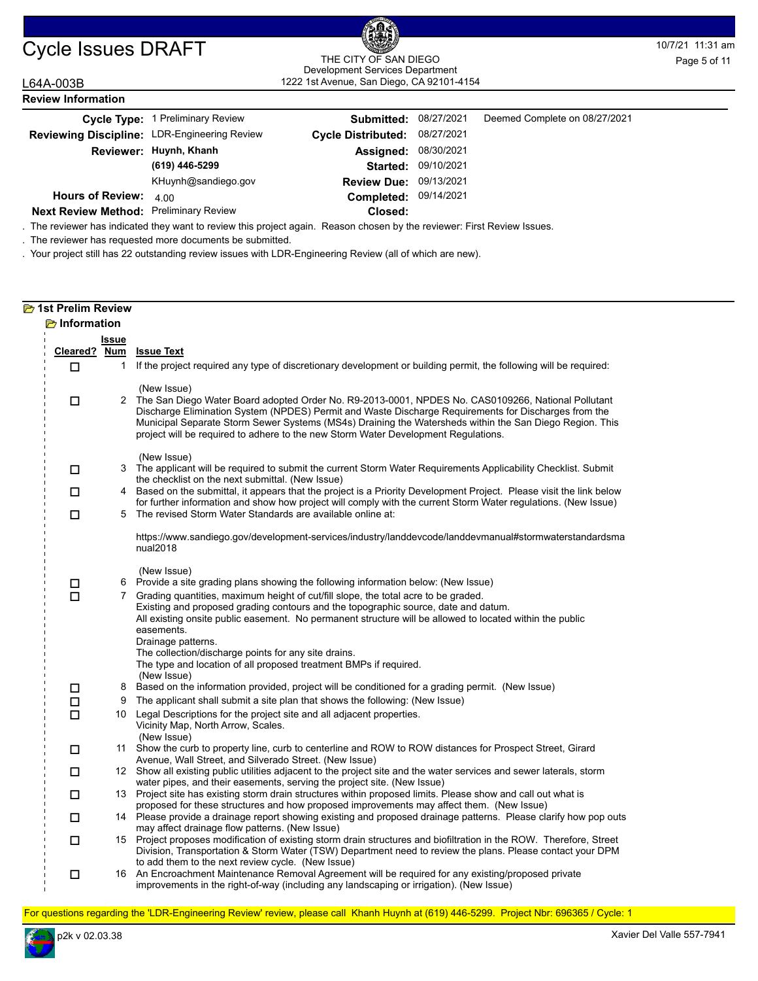## 1222 1st Avenue, San Diego, CA 92101-4154 THE CITY OF SAN DIEGO Development Services Department Page 5 of 11

#### L64A-003B **Review Information**

|                                               | Cycle Type: 1 Preliminary Review | <b>Submitted: 08/27/2021</b>  |                     | Deemed Complete on 08/27/2021 |
|-----------------------------------------------|----------------------------------|-------------------------------|---------------------|-------------------------------|
| Reviewing Discipline: LDR-Engineering Review  |                                  | Cycle Distributed: 08/27/2021 |                     |                               |
|                                               | Reviewer: Huynh, Khanh           | <b>Assigned: 08/30/2021</b>   |                     |                               |
|                                               | (619) 446-5299                   |                               | Started: 09/10/2021 |                               |
|                                               | KHuynh@sandiego.gov              | <b>Review Due: 09/13/2021</b> |                     |                               |
| <b>Hours of Review:</b>                       | 400                              | Completed: 09/14/2021         |                     |                               |
| <b>Next Review Method: Preliminary Review</b> |                                  | Closed:                       |                     |                               |

. The reviewer has indicated they want to review this project again. Reason chosen by the reviewer: First Review Issues.

. The reviewer has requested more documents be submitted.

. Your project still has 22 outstanding review issues with LDR-Engineering Review (all of which are new).

### **2** 1st Prelim Review **Information**

| Cleared? Num<br>□ | <b>Issue</b><br>1 | <b>Issue Text</b><br>If the project required any type of discretionary development or building permit, the following will be required:                                                                                                                                                                                                                                                                                                                  |
|-------------------|-------------------|---------------------------------------------------------------------------------------------------------------------------------------------------------------------------------------------------------------------------------------------------------------------------------------------------------------------------------------------------------------------------------------------------------------------------------------------------------|
| □                 |                   | (New Issue)<br>2 The San Diego Water Board adopted Order No. R9-2013-0001, NPDES No. CAS0109266, National Pollutant<br>Discharge Elimination System (NPDES) Permit and Waste Discharge Requirements for Discharges from the<br>Municipal Separate Storm Sewer Systems (MS4s) Draining the Watersheds within the San Diego Region. This<br>project will be required to adhere to the new Storm Water Development Regulations.                            |
| □                 |                   | (New Issue)<br>3 The applicant will be required to submit the current Storm Water Requirements Applicability Checklist. Submit<br>the checklist on the next submittal. (New Issue)                                                                                                                                                                                                                                                                      |
| □                 | 4                 | Based on the submittal, it appears that the project is a Priority Development Project. Please visit the link below                                                                                                                                                                                                                                                                                                                                      |
| □                 | 5                 | for further information and show how project will comply with the current Storm Water regulations. (New Issue)<br>The revised Storm Water Standards are available online at:                                                                                                                                                                                                                                                                            |
|                   |                   | https://www.sandiego.gov/development-services/industry/landdevcode/landdevmanual#stormwaterstandardsma<br>nual2018                                                                                                                                                                                                                                                                                                                                      |
| $\Box$            | 6                 | (New Issue)<br>Provide a site grading plans showing the following information below: (New Issue)                                                                                                                                                                                                                                                                                                                                                        |
| $\Box$            |                   | 7 Grading quantities, maximum height of cut/fill slope, the total acre to be graded.<br>Existing and proposed grading contours and the topographic source, date and datum.<br>All existing onsite public easement. No permanent structure will be allowed to located within the public<br>easements.<br>Drainage patterns.<br>The collection/discharge points for any site drains.<br>The type and location of all proposed treatment BMPs if required. |
|                   |                   | (New Issue)                                                                                                                                                                                                                                                                                                                                                                                                                                             |
| $\Box$            | 8                 | Based on the information provided, project will be conditioned for a grading permit. (New Issue)                                                                                                                                                                                                                                                                                                                                                        |
| □<br>$\Box$       | 9                 | The applicant shall submit a site plan that shows the following: (New Issue)<br>10 Legal Descriptions for the project site and all adjacent properties.<br>Vicinity Map, North Arrow, Scales.                                                                                                                                                                                                                                                           |
| □                 |                   | (New Issue)<br>11 Show the curb to property line, curb to centerline and ROW to ROW distances for Prospect Street, Girard<br>Avenue, Wall Street, and Silverado Street. (New Issue)                                                                                                                                                                                                                                                                     |
| □                 |                   | 12 Show all existing public utilities adjacent to the project site and the water services and sewer laterals, storm                                                                                                                                                                                                                                                                                                                                     |
| □                 |                   | water pipes, and their easements, serving the project site. (New Issue)<br>13 Project site has existing storm drain structures within proposed limits. Please show and call out what is<br>proposed for these structures and how proposed improvements may affect them. (New Issue)                                                                                                                                                                     |
| □                 |                   | 14 Please provide a drainage report showing existing and proposed drainage patterns. Please clarify how pop outs<br>may affect drainage flow patterns. (New Issue)                                                                                                                                                                                                                                                                                      |
| □                 |                   | 15 Project proposes modification of existing storm drain structures and biofiltration in the ROW. Therefore, Street<br>Division, Transportation & Storm Water (TSW) Department need to review the plans. Please contact your DPM<br>to add them to the next review cycle. (New Issue)                                                                                                                                                                   |
| □                 |                   | 16 An Encroachment Maintenance Removal Agreement will be required for any existing/proposed private<br>improvements in the right-of-way (including any landscaping or irrigation). (New Issue)                                                                                                                                                                                                                                                          |

For questions regarding the 'LDR-Engineering Review' review, please call Khanh Huynh at (619) 446-5299. Project Nbr: 696365 / Cycle: 1

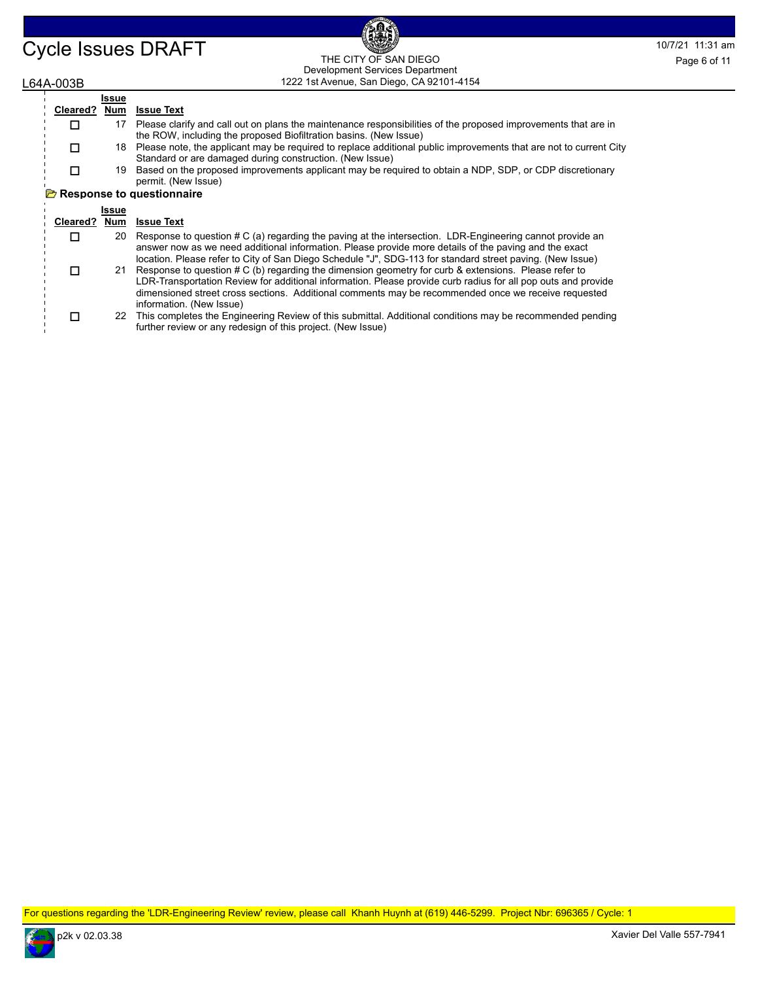#### Cycle Issues DRAFT THE CITY OF SAN DIEGO THE CONTROL DRAFT THE CITY OF SAN DIEGO 1222 1st Avenue, San Diego, CA 92101-4154 THE CITY OF SAN DIEGO Development Services Department

### L64A-003B

|          | Issue |                                                                                                                                                                                                                                                                                                                                |
|----------|-------|--------------------------------------------------------------------------------------------------------------------------------------------------------------------------------------------------------------------------------------------------------------------------------------------------------------------------------|
| Cleared? | Num   | <b>Issue Text</b>                                                                                                                                                                                                                                                                                                              |
|          | 17    | Please clarify and call out on plans the maintenance responsibilities of the proposed improvements that are in<br>the ROW, including the proposed Biofiltration basins. (New Issue)                                                                                                                                            |
|          |       | 18 Please note, the applicant may be required to replace additional public improvements that are not to current City<br>Standard or are damaged during construction. (New Issue)                                                                                                                                               |
|          |       | 19 Based on the proposed improvements applicant may be required to obtain a NDP, SDP, or CDP discretionary<br>permit. (New Issue)                                                                                                                                                                                              |
|          |       | Response to questionnaire                                                                                                                                                                                                                                                                                                      |
|          | Issue |                                                                                                                                                                                                                                                                                                                                |
| Cleared? | Num   | <b>Issue Text</b>                                                                                                                                                                                                                                                                                                              |
|          | 20    | Response to question # C (a) regarding the paving at the intersection. LDR-Engineering cannot provide an<br>answer now as we need additional information. Please provide more details of the paving and the exact<br>location. Please refer to City of San Diego Schedule "J", SDG-113 for standard street paving. (New Issue) |

21 Response to question # C (b) regarding the dimension geometry for curb & extensions. Please refer to LDR-Transportation Review for additional information. Please provide curb radius for all pop outs and provide dimensioned street cross sections. Additional comments may be recommended once we receive requested information. (New Issue)  $\Box$ 

22 This completes the Engineering Review of this submittal. Additional conditions may be recommended pending further review or any redesign of this project. (New Issue)  $\Box$ 

For questions regarding the 'LDR-Engineering Review' review, please call Khanh Huynh at (619) 446-5299. Project Nbr: 696365 / Cycle: 1

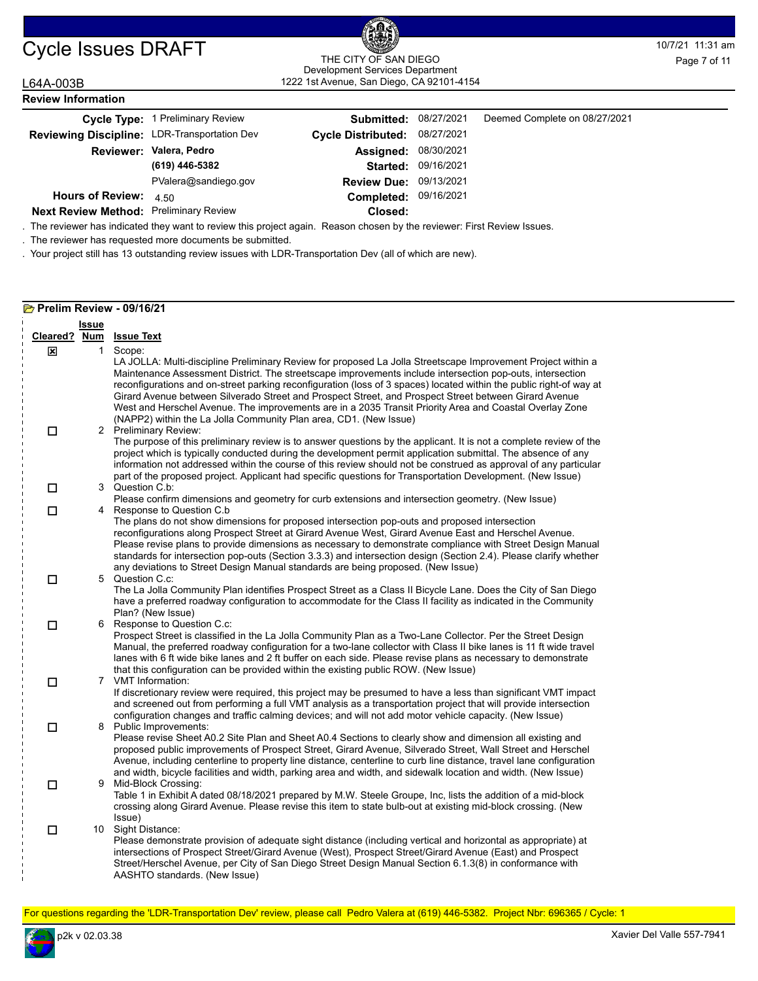#### 1222 1st Avenue, San Diego, CA 92101-4154 THE CITY OF SAN DIEGO Development Services Department

**Closed:**

| L64A-003B                                    | 1222 1st Avenue, San Diego, CA 92101-4154 |                               |                     |                               |  |
|----------------------------------------------|-------------------------------------------|-------------------------------|---------------------|-------------------------------|--|
| <b>Review Information</b>                    |                                           |                               |                     |                               |  |
|                                              | Cycle Type: 1 Preliminary Review          | Submitted:                    | 08/27/2021          | Deemed Complete on 08/27/2021 |  |
| Reviewing Discipline: LDR-Transportation Dev |                                           | Cycle Distributed: 08/27/2021 |                     |                               |  |
|                                              | Reviewer: Valera, Pedro                   | Assigned:                     | 08/30/2021          |                               |  |
|                                              | (619) 446-5382                            |                               | Started: 09/16/2021 |                               |  |
|                                              | PValera@sandiego.gov                      | <b>Review Due: 09/13/2021</b> |                     |                               |  |
| Hours of Review: $4.50$                      |                                           | Completed: 09/16/2021         |                     |                               |  |

**Next Review Method: Preliminary Review** 

. The reviewer has indicated they want to review this project again. Reason chosen by the reviewer: First Review Issues.

. The reviewer has requested more documents be submitted.

. Your project still has 13 outstanding review issues with LDR-Transportation Dev (all of which are new).

#### **Prelim Review - 09/16/21**

|          | <b>Issue</b> |                                                                                                                                                                                                                                                                                                                                                                                                                                                                                                                                                                                |
|----------|--------------|--------------------------------------------------------------------------------------------------------------------------------------------------------------------------------------------------------------------------------------------------------------------------------------------------------------------------------------------------------------------------------------------------------------------------------------------------------------------------------------------------------------------------------------------------------------------------------|
| Cleared? | <u>Num</u>   | <b>Issue Text</b>                                                                                                                                                                                                                                                                                                                                                                                                                                                                                                                                                              |
| ×        | $\mathbf{1}$ | Scope:<br>LA JOLLA: Multi-discipline Preliminary Review for proposed La Jolla Streetscape Improvement Project within a<br>Maintenance Assessment District. The streetscape improvements include intersection pop-outs, intersection<br>reconfigurations and on-street parking reconfiguration (loss of 3 spaces) located within the public right-of way at<br>Girard Avenue between Silverado Street and Prospect Street, and Prospect Street between Girard Avenue<br>West and Herschel Avenue. The improvements are in a 2035 Transit Priority Area and Coastal Overlay Zone |
| $\Box$   |              | (NAPP2) within the La Jolla Community Plan area, CD1. (New Issue)<br>2 Preliminary Review:<br>The purpose of this preliminary review is to answer questions by the applicant. It is not a complete review of the<br>project which is typically conducted during the development permit application submittal. The absence of any<br>information not addressed within the course of this review should not be construed as approval of any particular<br>part of the proposed project. Applicant had specific questions for Transportation Development. (New Issue)             |
| □        |              | 3 Question C.b:<br>Please confirm dimensions and geometry for curb extensions and intersection geometry. (New Issue)                                                                                                                                                                                                                                                                                                                                                                                                                                                           |
| П        |              | 4 Response to Question C.b<br>The plans do not show dimensions for proposed intersection pop-outs and proposed intersection<br>reconfigurations along Prospect Street at Girard Avenue West, Girard Avenue East and Herschel Avenue.<br>Please revise plans to provide dimensions as necessary to demonstrate compliance with Street Design Manual<br>standards for intersection pop-outs (Section 3.3.3) and intersection design (Section 2.4). Please clarify whether<br>any deviations to Street Design Manual standards are being proposed. (New Issue)                    |
| $\Box$   | 5            | Question C.c:<br>The La Jolla Community Plan identifies Prospect Street as a Class II Bicycle Lane. Does the City of San Diego<br>have a preferred roadway configuration to accommodate for the Class II facility as indicated in the Community<br>Plan? (New Issue)                                                                                                                                                                                                                                                                                                           |
| П        | 6            | Response to Question C.c.<br>Prospect Street is classified in the La Jolla Community Plan as a Two-Lane Collector. Per the Street Design<br>Manual, the preferred roadway configuration for a two-lane collector with Class II bike lanes is 11 ft wide travel<br>lanes with 6 ft wide bike lanes and 2 ft buffer on each side. Please revise plans as necessary to demonstrate<br>that this configuration can be provided within the existing public ROW. (New Issue)                                                                                                         |
| $\Box$   |              | 7 VMT Information:<br>If discretionary review were required, this project may be presumed to have a less than significant VMT impact<br>and screened out from performing a full VMT analysis as a transportation project that will provide intersection<br>configuration changes and traffic calming devices; and will not add motor vehicle capacity. (New Issue)                                                                                                                                                                                                             |
| $\Box$   |              | 8 Public Improvements:<br>Please revise Sheet A0.2 Site Plan and Sheet A0.4 Sections to clearly show and dimension all existing and<br>proposed public improvements of Prospect Street, Girard Avenue, Silverado Street, Wall Street and Herschel<br>Avenue, including centerline to property line distance, centerline to curb line distance, travel lane configuration<br>and width, bicycle facilities and width, parking area and width, and sidewalk location and width. (New Issue)                                                                                      |
| □        | 9            | Mid-Block Crossing:<br>Table 1 in Exhibit A dated 08/18/2021 prepared by M.W. Steele Groupe, Inc, lists the addition of a mid-block<br>crossing along Girard Avenue. Please revise this item to state bulb-out at existing mid-block crossing. (New<br>Issue)                                                                                                                                                                                                                                                                                                                  |
| $\Box$   |              | 10 Sight Distance:<br>Please demonstrate provision of adequate sight distance (including vertical and horizontal as appropriate) at<br>intersections of Prospect Street/Girard Avenue (West), Prospect Street/Girard Avenue (East) and Prospect<br>Street/Herschel Avenue, per City of San Diego Street Design Manual Section 6.1.3(8) in conformance with<br>AASHTO standards. (New Issue)                                                                                                                                                                                    |

For questions regarding the 'LDR-Transportation Dev' review, please call Pedro Valera at (619) 446-5382. Project Nbr: 696365 / Cycle: 1

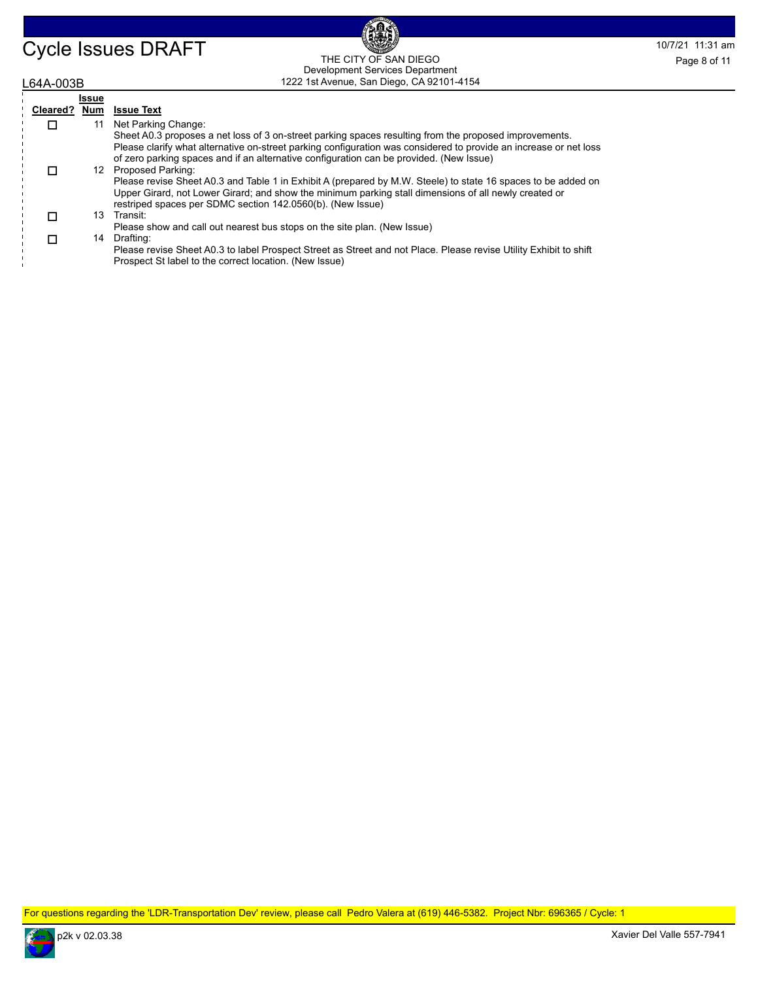### Cycle Issues DRAFT THE CITY OF SAN DIEGO Page 8 of 11 1222 1st Avenue, San Diego, CA 92101-4154 THE CITY OF SAN DIEGO Development Services Department Page 8 of 11

| <sub>-</sub> 64A-003B |              | 1222 1st Avenue, San Diego, CA 92101-4154                                                                                                                                                                                                                                                                              |  |  |  |
|-----------------------|--------------|------------------------------------------------------------------------------------------------------------------------------------------------------------------------------------------------------------------------------------------------------------------------------------------------------------------------|--|--|--|
|                       | <b>Issue</b> |                                                                                                                                                                                                                                                                                                                        |  |  |  |
| Cleared?              | Num          | <b>Issue Text</b>                                                                                                                                                                                                                                                                                                      |  |  |  |
|                       | 11           | Net Parking Change:                                                                                                                                                                                                                                                                                                    |  |  |  |
|                       |              | Sheet A0.3 proposes a net loss of 3 on-street parking spaces resulting from the proposed improvements.<br>Please clarify what alternative on-street parking configuration was considered to provide an increase or net loss<br>of zero parking spaces and if an alternative configuration can be provided. (New Issue) |  |  |  |
| $\Box$                |              | 12 Proposed Parking:                                                                                                                                                                                                                                                                                                   |  |  |  |
|                       |              | Please revise Sheet A0.3 and Table 1 in Exhibit A (prepared by M.W. Steele) to state 16 spaces to be added on<br>Upper Girard, not Lower Girard; and show the minimum parking stall dimensions of all newly created or<br>restriped spaces per SDMC section 142.0560(b). (New Issue)                                   |  |  |  |
| П                     | 13           | Transit:                                                                                                                                                                                                                                                                                                               |  |  |  |
|                       |              | Please show and call out nearest bus stops on the site plan. (New Issue)                                                                                                                                                                                                                                               |  |  |  |
| $\Box$                | 14           | Drafting:                                                                                                                                                                                                                                                                                                              |  |  |  |
|                       |              | Please revise Sheet A0.3 to label Prospect Street as Street and not Place. Please revise Utility Exhibit to shift<br>Prospect St label to the correct location. (New Issue)                                                                                                                                            |  |  |  |

For questions regarding the 'LDR-Transportation Dev' review, please call Pedro Valera at (619) 446-5382. Project Nbr: 696365 / Cycle: 1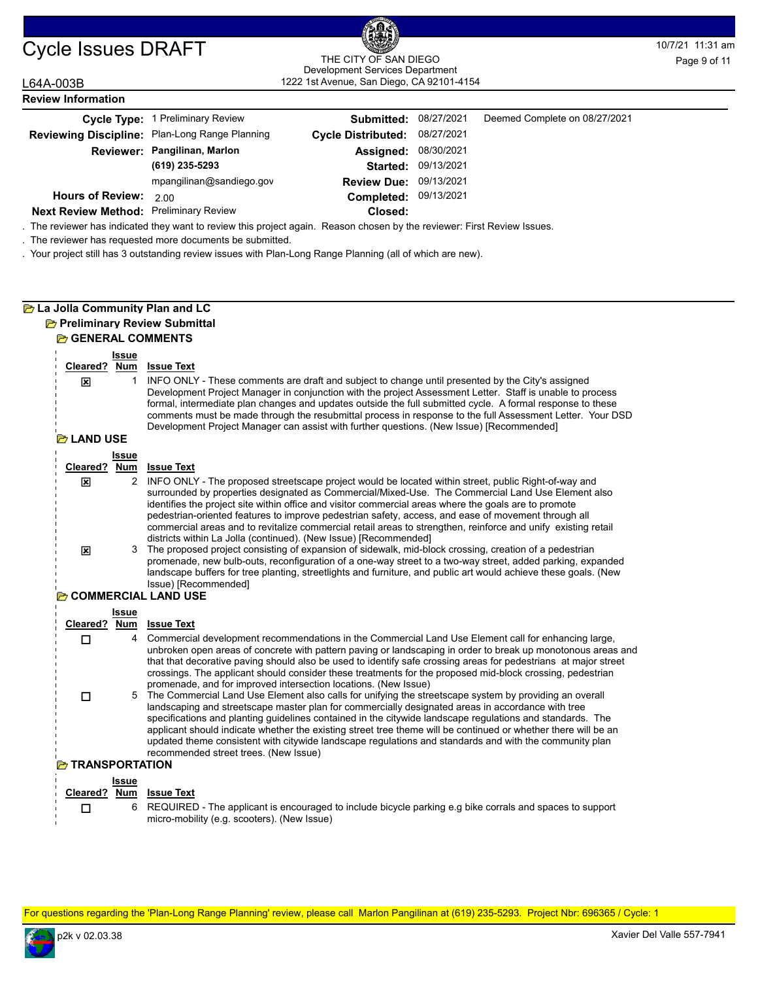## 1222 1st Avenue, San Diego, CA 92101-4154 THE CITY OF SAN DIEGO Development Services Department Page 9 of 11

| L64A-003B                                     |                                                | 1222 1st Avenue, San Diego, CA 92101-4154 |            |                               |  |
|-----------------------------------------------|------------------------------------------------|-------------------------------------------|------------|-------------------------------|--|
| <b>Review Information</b>                     |                                                |                                           |            |                               |  |
|                                               | Cycle Type: 1 Preliminary Review               | Submitted:                                | 08/27/2021 | Deemed Complete on 08/27/2021 |  |
|                                               | Reviewing Discipline: Plan-Long Range Planning | <b>Cycle Distributed:</b>                 | 08/27/2021 |                               |  |
|                                               | Reviewer: Pangilinan, Marlon                   | Assigned:                                 | 08/30/2021 |                               |  |
|                                               | (619) 235-5293                                 | <b>Started:</b>                           | 09/13/2021 |                               |  |
|                                               | mpangilinan@sandiego.gov                       | <b>Review Due: 09/13/2021</b>             |            |                               |  |
| <b>Hours of Review:</b>                       | 2.00                                           | Completed: 09/13/2021                     |            |                               |  |
| <b>Next Review Method: Preliminary Review</b> |                                                | Closed:                                   |            |                               |  |

. The reviewer has indicated they want to review this project again. Reason chosen by the reviewer: First Review Issues.

. The reviewer has requested more documents be submitted.

. Your project still has 3 outstanding review issues with Plan-Long Range Planning (all of which are new).

## **La Jolla Community Plan and LC**

#### **Preliminary Review Submittal GENERAL COMMENTS**

| Cleared? Num<br>区<br><b>P</b> LAND USE | <b>Issue</b><br>1   | <b>Issue Text</b><br>INFO ONLY - These comments are draft and subject to change until presented by the City's assigned<br>Development Project Manager in conjunction with the project Assessment Letter. Staff is unable to process<br>formal, intermediate plan changes and updates outside the full submitted cycle. A formal response to these<br>comments must be made through the resubmittal process in response to the full Assessment Letter. Your DSD<br>Development Project Manager can assist with further questions. (New Issue) [Recommended]                                                                                                                                                                                                                                                                                                                                                                                                                                                                                                                     |  |  |  |
|----------------------------------------|---------------------|--------------------------------------------------------------------------------------------------------------------------------------------------------------------------------------------------------------------------------------------------------------------------------------------------------------------------------------------------------------------------------------------------------------------------------------------------------------------------------------------------------------------------------------------------------------------------------------------------------------------------------------------------------------------------------------------------------------------------------------------------------------------------------------------------------------------------------------------------------------------------------------------------------------------------------------------------------------------------------------------------------------------------------------------------------------------------------|--|--|--|
|                                        | <b>Issue</b>        |                                                                                                                                                                                                                                                                                                                                                                                                                                                                                                                                                                                                                                                                                                                                                                                                                                                                                                                                                                                                                                                                                |  |  |  |
| Cleared?                               | Num                 | <b>Issue Text</b>                                                                                                                                                                                                                                                                                                                                                                                                                                                                                                                                                                                                                                                                                                                                                                                                                                                                                                                                                                                                                                                              |  |  |  |
| 図                                      | 2                   | INFO ONLY - The proposed streetscape project would be located within street, public Right-of-way and<br>surrounded by properties designated as Commercial/Mixed-Use. The Commercial Land Use Element also<br>identifies the project site within office and visitor commercial areas where the goals are to promote<br>pedestrian-oriented features to improve pedestrian safety, access, and ease of movement through all<br>commercial areas and to revitalize commercial retail areas to strengthen, reinforce and unify existing retail<br>districts within La Jolla (continued). (New Issue) [Recommended]                                                                                                                                                                                                                                                                                                                                                                                                                                                                 |  |  |  |
| 区                                      | 3                   | The proposed project consisting of expansion of sidewalk, mid-block crossing, creation of a pedestrian<br>promenade, new bulb-outs, reconfiguration of a one-way street to a two-way street, added parking, expanded<br>landscape buffers for tree planting, streetlights and furniture, and public art would achieve these goals. (New<br>Issue) [Recommended]                                                                                                                                                                                                                                                                                                                                                                                                                                                                                                                                                                                                                                                                                                                |  |  |  |
| <b>COMMERCIAL LAND USE</b>             |                     |                                                                                                                                                                                                                                                                                                                                                                                                                                                                                                                                                                                                                                                                                                                                                                                                                                                                                                                                                                                                                                                                                |  |  |  |
|                                        | Issue               |                                                                                                                                                                                                                                                                                                                                                                                                                                                                                                                                                                                                                                                                                                                                                                                                                                                                                                                                                                                                                                                                                |  |  |  |
| Cleared? Num                           |                     | <b>Issue Text</b>                                                                                                                                                                                                                                                                                                                                                                                                                                                                                                                                                                                                                                                                                                                                                                                                                                                                                                                                                                                                                                                              |  |  |  |
| П<br>п                                 | $\overline{4}$<br>5 | Commercial development recommendations in the Commercial Land Use Element call for enhancing large,<br>unbroken open areas of concrete with pattern paving or landscaping in order to break up monotonous areas and<br>that that decorative paving should also be used to identify safe crossing areas for pedestrians at major street<br>crossings. The applicant should consider these treatments for the proposed mid-block crossing, pedestrian<br>promenade, and for improved intersection locations. (New Issue)<br>The Commercial Land Use Element also calls for unifying the streetscape system by providing an overall<br>landscaping and streetscape master plan for commercially designated areas in accordance with tree<br>specifications and planting guidelines contained in the citywide landscape regulations and standards. The<br>applicant should indicate whether the existing street tree theme will be continued or whether there will be an<br>updated theme consistent with citywide landscape regulations and standards and with the community plan |  |  |  |
|                                        |                     | recommended street trees. (New Issue)                                                                                                                                                                                                                                                                                                                                                                                                                                                                                                                                                                                                                                                                                                                                                                                                                                                                                                                                                                                                                                          |  |  |  |
| <b>EXTRANSPORTATION</b>                |                     |                                                                                                                                                                                                                                                                                                                                                                                                                                                                                                                                                                                                                                                                                                                                                                                                                                                                                                                                                                                                                                                                                |  |  |  |
|                                        | Issue               |                                                                                                                                                                                                                                                                                                                                                                                                                                                                                                                                                                                                                                                                                                                                                                                                                                                                                                                                                                                                                                                                                |  |  |  |

|  | Cleared? Num Issue Text                                                                                    |
|--|------------------------------------------------------------------------------------------------------------|
|  | 6 REQUIRED - The applicant is encouraged to include bicycle parking e.g bike corrals and spaces to support |
|  | micro-mobility (e.g. scooters). (New Issue)                                                                |

For questions regarding the 'Plan-Long Range Planning' review, please call Marlon Pangilinan at (619) 235-5293. Project Nbr: 696365 / Cycle: 1

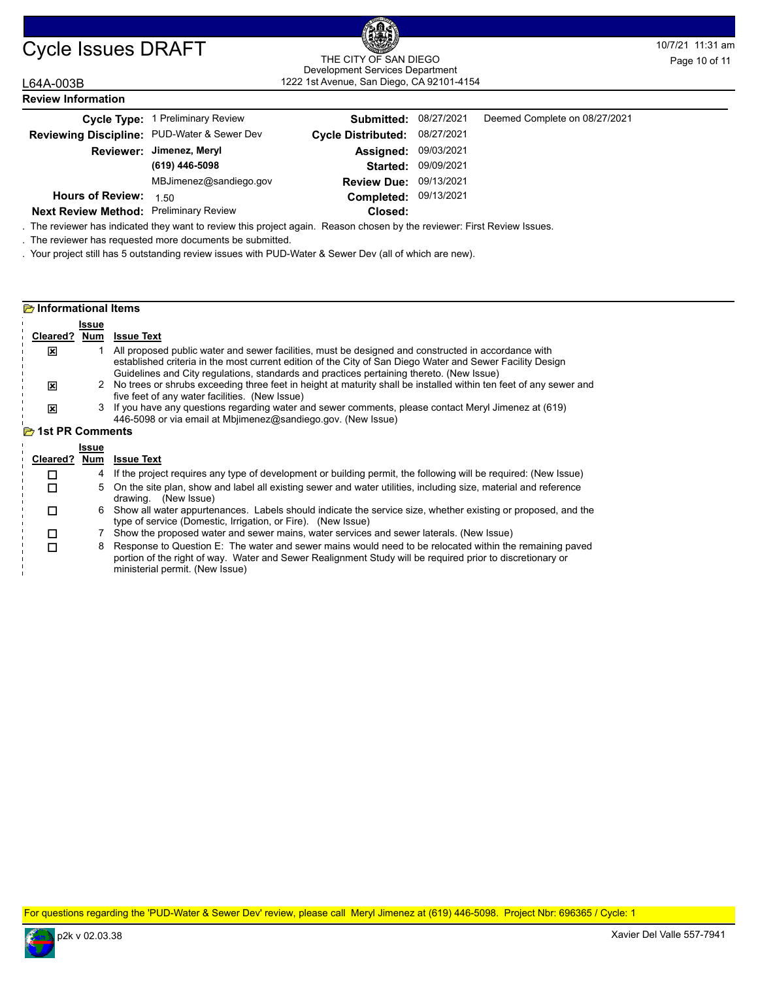#### Cycle Issues DRAFT THE CITY OF SAN DIEGO THE CONTROL DRAFT THE CITY OF SAN DIEGO 1222 1st Avenue, San Diego, CA 92101-4154 THE CITY OF SAN DIEGO Development Services Department

#### L64A-003B **Review Information**

|                                               | Cycle Type: 1 Preliminary Review | <b>Submitted: 08/27/2021</b> |                            | Deemed Complete on 08/27/2021 |  |
|-----------------------------------------------|----------------------------------|------------------------------|----------------------------|-------------------------------|--|
| Reviewing Discipline: PUD-Water & Sewer Dev   |                                  | <b>Cycle Distributed:</b>    | 08/27/2021                 |                               |  |
|                                               | Reviewer: Jimenez, Meryl         | <b>Assigned: 09/03/2021</b>  |                            |                               |  |
|                                               | (619) 446-5098                   |                              | <b>Started: 09/09/2021</b> |                               |  |
|                                               | MBJimenez@sandiego.gov           | Review Due: 09/13/2021       |                            |                               |  |
| <b>Hours of Review:</b>                       | 1.50                             | Completed: 09/13/2021        |                            |                               |  |
| <b>Next Review Method: Preliminary Review</b> |                                  | Closed:                      |                            |                               |  |

. The reviewer has indicated they want to review this project again. Reason chosen by the reviewer: First Review Issues.

. The reviewer has requested more documents be submitted.

. Your project still has 5 outstanding review issues with PUD-Water & Sewer Dev (all of which are new).

#### **Informational Items Issue Cleared ? Num Issue Text** 1 All proposed public water and sewer facilities, must be designed and constructed in accordance with established criteria in the most current edition of the City of San Diego Water and Sewer Facility Design Guidelines and City regulations, standards and practices pertaining thereto. (New Issue)  $\boldsymbol{\mathsf{x}}$ 2 No trees or shrubs exceeding three feet in height at maturity shall be installed within ten feet of any sewer and five feet of any water facilities. (New Issue) 図 3 If you have any questions regarding water and sewer comments, please contact Meryl Jimenez at (619) 446-5098 or via email at Mbjimenez@sandiego.gov. (New Issue) 区 **1st PR Comments Issue Cleared ? Num Issue Text**  $\Box$  4 If the project requires any type of development or building permit, the following will be required: (New Issue) 5 On the site plan, show and label all existing sewer and water utilities, including size, material and reference drawing. (New Issue)  $\Box$ 6 Show all water appurtenances. Labels should indicate the service size, whether existing or proposed, and the type of service (Domestic, Irrigation, or Fire). (New Issue)  $\Box$  7 Show the proposed water and sewer mains, water services and sewer laterals. (New Issue)  $\Box$

8 Response to Question E: The water and sewer mains would need to be relocated within the remaining paved portion of the right of way. Water and Sewer Realignment Study will be required prior to discretionary or ministerial permit. (New Issue)

For questions regarding the 'PUD-Water & Sewer Dev' review, please call Meryl Jimenez at (619) 446-5098. Project Nbr: 696365 / Cycle: 1